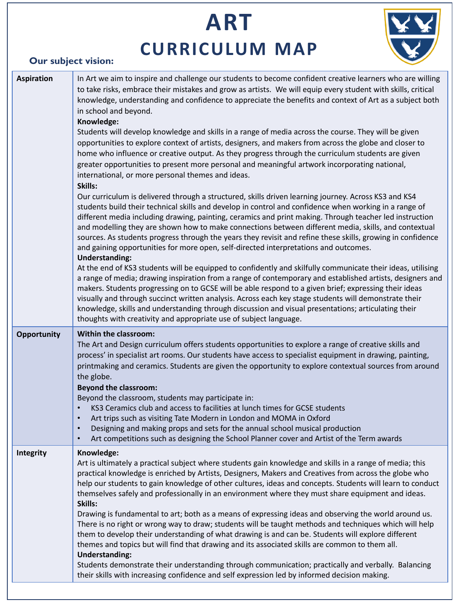# **ART CURRICULUM MAP**



# **Our subject vision:**

| <b>Aspiration</b> | In Art we aim to inspire and challenge our students to become confident creative learners who are willing<br>to take risks, embrace their mistakes and grow as artists. We will equip every student with skills, critical<br>knowledge, understanding and confidence to appreciate the benefits and context of Art as a subject both<br>in school and beyond.<br>Knowledge:<br>Students will develop knowledge and skills in a range of media across the course. They will be given<br>opportunities to explore context of artists, designers, and makers from across the globe and closer to<br>home who influence or creative output. As they progress through the curriculum students are given<br>greater opportunities to present more personal and meaningful artwork incorporating national,<br>international, or more personal themes and ideas.<br>Skills:<br>Our curriculum is delivered through a structured, skills driven learning journey. Across KS3 and KS4<br>students build their technical skills and develop in control and confidence when working in a range of<br>different media including drawing, painting, ceramics and print making. Through teacher led instruction<br>and modelling they are shown how to make connections between different media, skills, and contextual<br>sources. As students progress through the years they revisit and refine these skills, growing in confidence<br>and gaining opportunities for more open, self-directed interpretations and outcomes.<br><b>Understanding:</b><br>At the end of KS3 students will be equipped to confidently and skilfully communicate their ideas, utilising<br>a range of media; drawing inspiration from a range of contemporary and established artists, designers and<br>makers. Students progressing on to GCSE will be able respond to a given brief; expressing their ideas<br>visually and through succinct written analysis. Across each key stage students will demonstrate their<br>knowledge, skills and understanding through discussion and visual presentations; articulating their<br>thoughts with creativity and appropriate use of subject language. |
|-------------------|--------------------------------------------------------------------------------------------------------------------------------------------------------------------------------------------------------------------------------------------------------------------------------------------------------------------------------------------------------------------------------------------------------------------------------------------------------------------------------------------------------------------------------------------------------------------------------------------------------------------------------------------------------------------------------------------------------------------------------------------------------------------------------------------------------------------------------------------------------------------------------------------------------------------------------------------------------------------------------------------------------------------------------------------------------------------------------------------------------------------------------------------------------------------------------------------------------------------------------------------------------------------------------------------------------------------------------------------------------------------------------------------------------------------------------------------------------------------------------------------------------------------------------------------------------------------------------------------------------------------------------------------------------------------------------------------------------------------------------------------------------------------------------------------------------------------------------------------------------------------------------------------------------------------------------------------------------------------------------------------------------------------------------------------------------------------------------------------------------------------------------------------------------------------|
| Opportunity       | <b>Within the classroom:</b><br>The Art and Design curriculum offers students opportunities to explore a range of creative skills and<br>process' in specialist art rooms. Our students have access to specialist equipment in drawing, painting,<br>printmaking and ceramics. Students are given the opportunity to explore contextual sources from around<br>the globe.<br><b>Beyond the classroom:</b><br>Beyond the classroom, students may participate in:<br>KS3 Ceramics club and access to facilities at lunch times for GCSE students<br>Art trips such as visiting Tate Modern in London and MOMA in Oxford<br>$\bullet$<br>Designing and making props and sets for the annual school musical production<br>$\bullet$<br>Art competitions such as designing the School Planner cover and Artist of the Term awards<br>$\bullet$                                                                                                                                                                                                                                                                                                                                                                                                                                                                                                                                                                                                                                                                                                                                                                                                                                                                                                                                                                                                                                                                                                                                                                                                                                                                                                                          |
| Integrity         | Knowledge:<br>Art is ultimately a practical subject where students gain knowledge and skills in a range of media; this<br>practical knowledge is enriched by Artists, Designers, Makers and Creatives from across the globe who<br>help our students to gain knowledge of other cultures, ideas and concepts. Students will learn to conduct<br>themselves safely and professionally in an environment where they must share equipment and ideas.<br>Skills:<br>Drawing is fundamental to art; both as a means of expressing ideas and observing the world around us.<br>There is no right or wrong way to draw; students will be taught methods and techniques which will help<br>them to develop their understanding of what drawing is and can be. Students will explore different<br>themes and topics but will find that drawing and its associated skills are common to them all.<br><b>Understanding:</b><br>Students demonstrate their understanding through communication; practically and verbally. Balancing<br>their skills with increasing confidence and self expression led by informed decision making.                                                                                                                                                                                                                                                                                                                                                                                                                                                                                                                                                                                                                                                                                                                                                                                                                                                                                                                                                                                                                                            |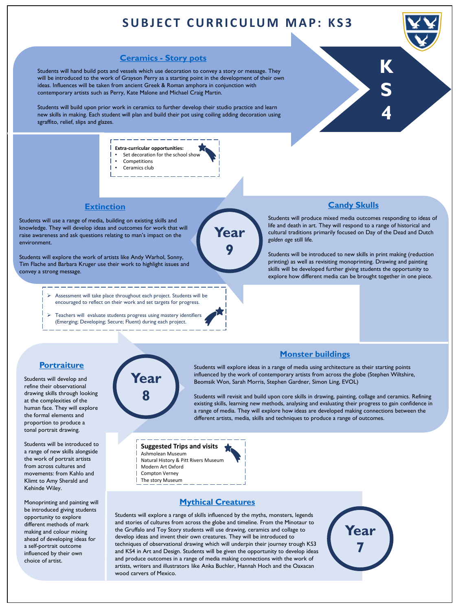# **SUBJECT CURRICULUM MAP: KS3**

**ea** 

**9**

# **[Ceramics -](#page-3-0) Story pots**

Students will hand build pots and vessels which use decoration to convey a story or message. They will be introduced to the work of Grayson Perry as a starting point in the development of their own ideas. Influences will be taken from ancient Greek & Roman amphora in conjunction with contemporary artists such as Perry, Kate Malone and Michael Craig Martin.

Students will build upon prior work in ceramics to further develop their studio practice and learn new skills in making. Each student will plan and build their pot using coiling adding decoration using sgraffito, relief, slips and glazes.

- **Extra-curricular opportunities:** Set decoration for the school show **Competitions** 
	- Ceramics club

### **[Extinction](#page-3-0)**

Students will use a range of media, building on existing skills and knowledge. They will develop ideas and outcomes for work that will raise awareness and ask questions relating to man's impact on the environment.

Students will explore the work of artists like Andy Warhol, Sonny, Tim Flache and Barbara Kruger use their work to highlight issues and convey a strong message.

- ➢ Assessment will take place throughout each project. Students will be encouraged to reflect on their work and set targets for progress.
- ➢ Teachers will evaluate students progress using mastery identifiers (Emerging; Developing; Secure; Fluent) during each project.

### **[Candy Skulls](#page-3-0)**

**K**

**S**

**4**

Students will produce mixed media outcomes responding to ideas of life and death in art. They will respond to a range of historical and cultural traditions primarily focused on Day of the Dead and Dutch *golden age* still life.

Students will be introduced to new skills in print making (reduction printing) as well as revisiting monoprinting. Drawing and painting skills will be developed further giving students the opportunity to explore how different media can be brought together in one piece.

# **[Portraiture](#page-3-0)**

Students will develop and refine their observational drawing skills through looking at the complexities of the human face. They will explore the formal elements and proportion to produce a tonal portrait drawing.

Students will be introduced to a range of new skills alongside the work of portrait artists from across cultures and movements: from Kahlo and Klimt to Amy Sherald and Kehinde Wiley.

Monoprinting and painting will be introduced giving students opportunity to explore different methods of mark making and colour mixing ahead of developing ideas for a self-portrait outcome influenced by their own choice of artist.



# **[Monster buildings](#page-3-0)**

Students will explore ideas in a range of media using architecture as their starting points influenced by the work of contemporary artists from across the globe (Stephen Wiltshire, Beomsik Won, Sarah Morris, Stephen Gardner, Simon Ling, EVOL)

Students will revisit and build upon core skills in drawing, painting, collage and ceramics. Refining existing skills, learning new methods, analysing and evaluating their progress to gain confidence in a range of media. They will explore how ideas are developed making connections between the different artists, media, skills and techniques to produce a range of outcomes.

### **Suggested Trips and visits**

Ashmolean Museum Natural History & Pitt Rivers Museum Modern Art Oxford Compton Verney The story Museum



### **[Mythical Creatures](#page-3-0)**

Students will explore a range of skills influenced by the myths, monsters, legends and stories of cultures from across the globe and timeline. From the Minotaur to the Gruffalo and Toy Story students will use drawing, ceramics and collage to develop ideas and invent their own creatures. They will be introduced to techniques of observational drawing which will underpin their journey trough KS3 and KS4 in Art and Design. Students will be given the opportunity to develop ideas and produce outcomes in a range of media making connections with the work of artists, writers and illustrators like Anka Buchler, Hannah Hoch and the Oaxacan wood carvers of Mexico.

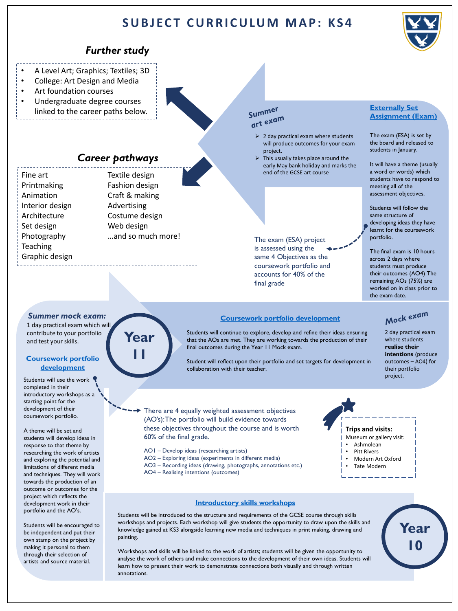# **SUBJECT CURRICULUM MAP: KS4**

# *Further study*

- A Level Art; Graphics; Textiles; 3D
- College: Art Design and Media
- Art foundation courses
- Undergraduate degree courses linked to the career paths below.

# *Career pathways*

| Fine art        | Textile design        |
|-----------------|-----------------------|
| Printmaking     | <b>Fashion design</b> |
| Animation       | Craft & making        |
| Interior design | Advertising           |
| Architecture    | Costume design        |
| Set design      | Web design            |
| Photography     | and so much n         |
| <b>Teaching</b> |                       |
| Graphic design  |                       |
|                 |                       |

# Summer sunnexam

- $\geq 2$  day practical exam where students will produce outcomes for your exam project.
- This usually takes place around the early May bank holiday and marks the end of the GCSE art course

The exam (ESA) project is assessed using the same 4 Objectives as the coursework portfolio and accounts for 40% of the final grade

**[Coursework portfolio development](#page-4-0)**

Students will continue to explore, develop and refine their ideas ensuring that the AOs are met. They are working towards the production of their

Student will reflect upon their portfolio and set targets for development in

### **Externally Set [Assignment \(Exam\)](#page-4-0)**

The exam (ESA) is set by the board and released to students in January.

It will have a theme (usually a word or words) which students have to respond to meeting all of the assessment objectives.

Students will follow the same structure of developing ideas they have learnt for the coursework portfolio.

The final exam is 10 hours across 2 days where students must produce their outcomes (AO4) The remaining AOs (75%) are worked on in class prior to the exam date.

# Mock exam

2 day practical exam where students **realise their intentions** (produce outcomes – AO4) for their portfolio project.

**Year** 

**10**

There are 4 equally weighted assessment objectives (AO's): The portfolio will build evidence towards these objectives throughout the course and is worth 60% of the final grade.

collaboration with their teacher.

- AO1 Develop ideas (researching artists)
- AO2 Exploring ideas (experiments in different media)
- AO3 Recording ideas (drawing, photographs, annotations etc.)
- AO4 Realising intentions (outcomes)

# **Trips and visits:**

- Museum or gallery visit:
- Ashmolean
- Pitt Rivers
- Modern Art Oxford **Tate Modern**
- 

### **[Introductory skills workshops](#page-4-0)**

final outcomes during the Year 11 Mock exam.

Students will be introduced to the structure and requirements of the GCSE course through skills workshops and projects. Each workshop will give students the opportunity to draw upon the skills and knowledge gained at KS3 alongside learning new media and techniques in print making, drawing and painting.

Workshops and skills will be linked to the work of artists; students will be given the opportunity to analyse the work of others and make connections to the development of their own ideas. Students will learn how to present their work to demonstrate connections both visually and through written annotations.

# *Summer mock exam:*

1 day practical exam which will contribute to your portfolio and test your skills.

### **[Coursework portfolio](#page-4-0)  development**

Students will use the work completed in their introductory workshops as a starting point for the development of their coursework portfolio.

A theme will be set and students will develop ideas in response to that theme by researching the work of artists and exploring the potential and limitations of different media and techniques. They will work towards the production of an outcome or outcomes for the project which reflects the development work in their portfolio and the AO's.

Students will be encouraged to be independent and put their own stamp on the project by making it personal to them through their selection of artists and source material.





more!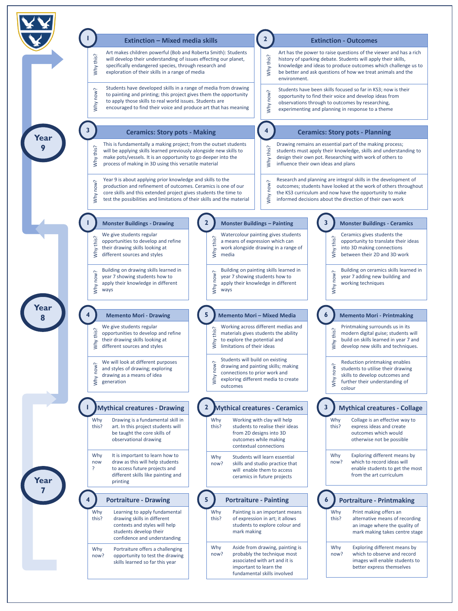<span id="page-3-0"></span>